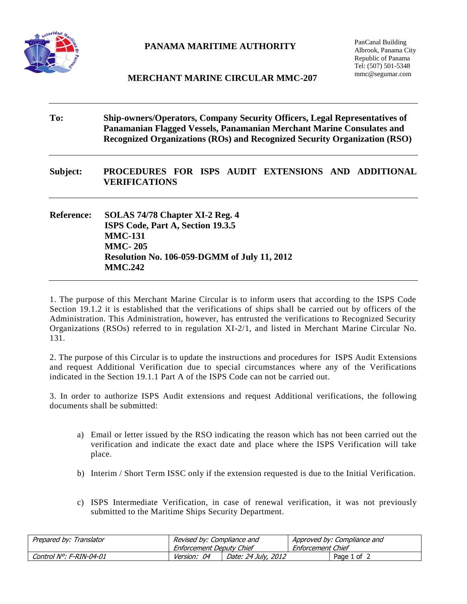

## **PANAMA MARITIME AUTHORITY**

PanCanal Building Albrook, Panama City Republic of Panama Tel: (507) 501-5348 mmc@segumar.com

## **MERCHANT MARINE CIRCULAR MMC-207**

| To:               | Ship-owners/Operators, Company Security Officers, Legal Representatives of<br>Panamanian Flagged Vessels, Panamanian Merchant Marine Consulates and<br>Recognized Organizations (ROs) and Recognized Security Organization (RSO) |  |  |  |  |  |  |
|-------------------|----------------------------------------------------------------------------------------------------------------------------------------------------------------------------------------------------------------------------------|--|--|--|--|--|--|
| Subject:          | PROCEDURES FOR ISPS AUDIT EXTENSIONS AND ADDITIONAL<br><b>VERIFICATIONS</b>                                                                                                                                                      |  |  |  |  |  |  |
| <b>Reference:</b> | SOLAS 74/78 Chapter XI-2 Reg. 4<br>ISPS Code, Part A, Section 19.3.5<br><b>MMC-131</b><br><b>MMC-205</b><br><b>Resolution No. 106-059-DGMM of July 11, 2012</b><br><b>MMC.242</b>                                                |  |  |  |  |  |  |

1. The purpose of this Merchant Marine Circular is to inform users that according to the ISPS Code Section 19.1.2 it is established that the verifications of ships shall be carried out by officers of the Administration. This Administration, however, has entrusted the verifications to Recognized Security Organizations (RSOs) referred to in regulation XI-2/1, and listed in Merchant Marine Circular No. 131.

2. The purpose of this Circular is to update the instructions and procedures for ISPS Audit Extensions and request Additional Verification due to special circumstances where any of the Verifications indicated in the Section 19.1.1 Part A of the ISPS Code can not be carried out.

3. In order to authorize ISPS Audit extensions and request Additional verifications, the following documents shall be submitted:

- a) Email or letter issued by the RSO indicating the reason which has not been carried out the verification and indicate the exact date and place where the ISPS Verification will take place.
- b) Interim / Short Term ISSC only if the extension requested is due to the Initial Verification.
- c) ISPS Intermediate Verification, in case of renewal verification, it was not previously submitted to the Maritime Ships Security Department.

| Prepared by: Translator | Revised by: Compliance and<br>Enforcement Deputy Chief |                     | Approved by: Compliance and<br>Enforcement Chief |             |
|-------------------------|--------------------------------------------------------|---------------------|--------------------------------------------------|-------------|
| Control N°: F-RIN-04-01 | <i>Version: 04</i>                                     | Date: 24 July, 2012 |                                                  | Page 1 of 2 |